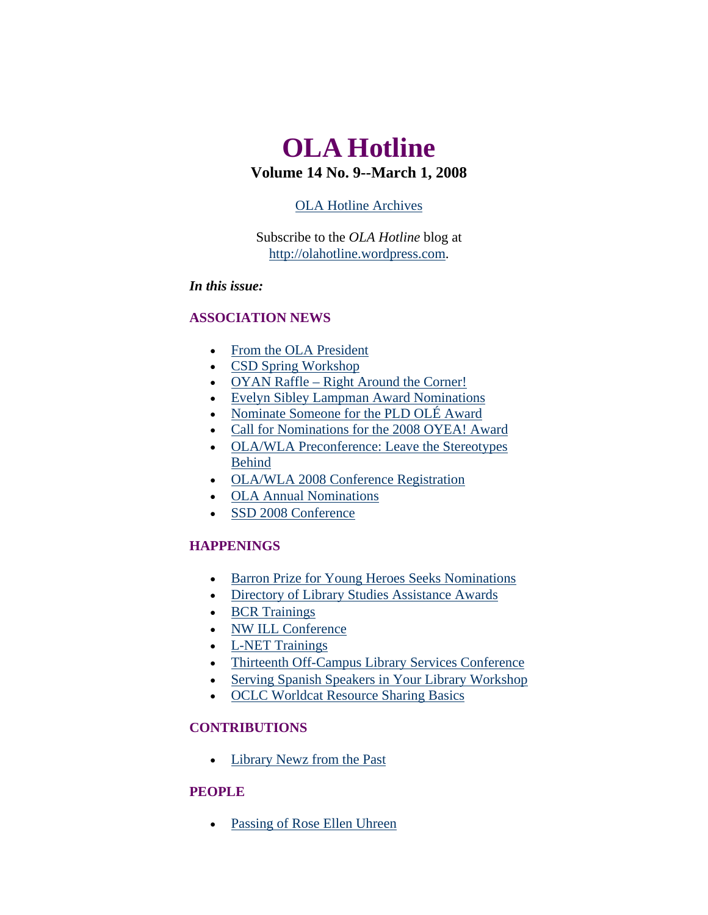# <span id="page-0-0"></span>**OLA Hotline Volume 14 No. 9--March 1, 2008**

## [OLA Hotline Archives](http://olaweb.org/hotline/index.shtml)

Subscribe to the *OLA Hotline* blog at [http://olahotline.wordpress.com](http://olahotline.wordpress.com/).

## *In this issue:*

## **ASSOCIATION NEWS**

- [From the OLA President](#page-1-0)
- [CSD Spring Workshop](#page-2-0)
- [OYAN Raffle Right Around the Corner!](#page-3-0)
- [Evelyn Sibley Lampman Award Nominations](#page-3-0)
- [Nominate Someone for the PLD OLÉ Award](#page-4-0)
- [Call for Nominations for the 2008 OYEA! Award](#page-5-0)
- [OLA/WLA Preconference: Leave the Stereotypes](#page-5-0)  [Behind](#page-5-0)
- [OLA/WLA 2008 Conference Registration](#page-6-0)
- [OLA Annual Nominations](#page-7-0)
- [SSD 2008 Conference](#page-7-0)

## **HAPPENINGS**

- [Barron Prize for Young Heroes Seeks Nominations](#page-8-0)
- [Directory of Library Studies Assistance Awards](#page-9-0)
- [BCR Trainings](#page-9-0)
- [NW ILL Conference](#page-9-0)
- [L-NET Trainings](#page-10-0)
- [Thirteenth Off-Campus Library Services Conference](#page-11-0)
- [Serving Spanish Speakers in Your Library Workshop](#page-12-0)
- [OCLC Worldcat Resource Sharing Basics](#page-12-0)

## **CONTRIBUTIONS**

• [Library Newz from the Past](#page-14-0)

## **PEOPLE**

• [Passing of Rose Ellen Uhreen](#page-16-0)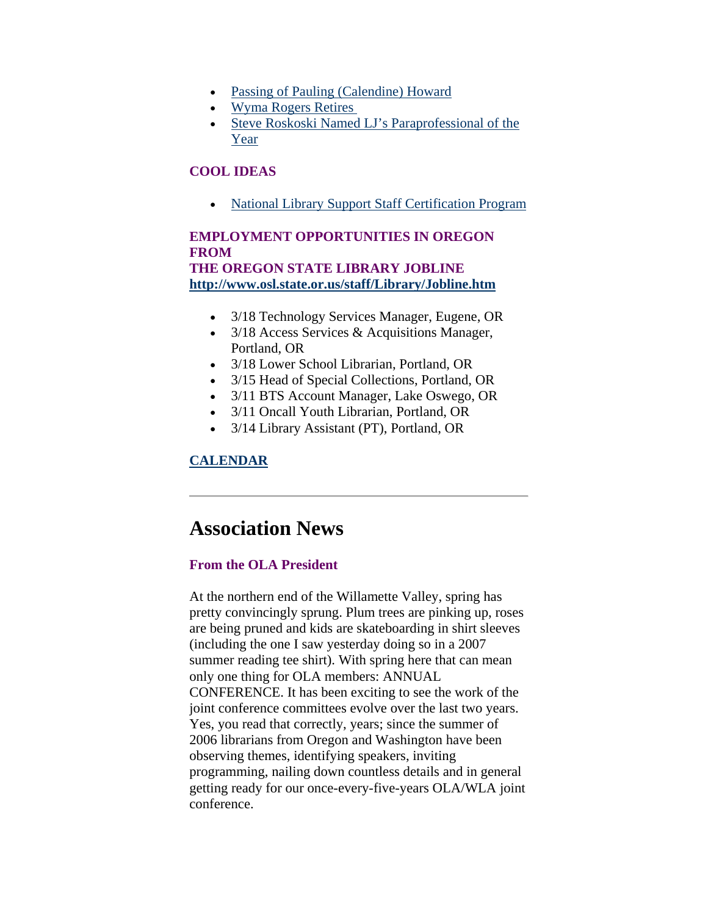- <span id="page-1-0"></span>• [Passing of Pauling \(Calendine\) Howard](#page-16-0)
- [Wyma Rogers Retires](#page-17-0)
- [Steve Roskoski Named LJ's Paraprofessional of the](#page-17-0)  [Year](#page-17-0)

## **COOL IDEAS**

• [National Library Support Staff Certification Program](#page-17-0) 

## **EMPLOYMENT OPPORTUNITIES IN OREGON FROM THE OREGON STATE LIBRARY JOBLINE**

**<http://www.osl.state.or.us/staff/Library/Jobline.htm>**

- 3/18 Technology Services Manager, Eugene, OR
- 3/18 Access Services & Acquisitions Manager, Portland, OR
- 3/18 Lower School Librarian, Portland, OR
- 3/15 Head of Special Collections, Portland, OR
- 3/11 BTS Account Manager, Lake Oswego, OR
- 3/11 Oncall Youth Librarian, Portland, OR
- 3/14 Library Assistant (PT), Portland, OR

## **[CALENDAR](http://web.memberclicks.com/mc/community/vieweventcalendar.do?orgId=ola)**

# **Association News**

### **From the OLA President**

At the northern end of the Willamette Valley, spring has pretty convincingly sprung. Plum trees are pinking up, roses are being pruned and kids are skateboarding in shirt sleeves (including the one I saw yesterday doing so in a 2007 summer reading tee shirt). With spring here that can mean only one thing for OLA members: ANNUAL CONFERENCE. It has been exciting to see the work of the joint conference committees evolve over the last two years. Yes, you read that correctly, years; since the summer of 2006 librarians from Oregon and Washington have been observing themes, identifying speakers, inviting programming, nailing down countless details and in general getting ready for our once-every-five-years OLA/WLA joint conference.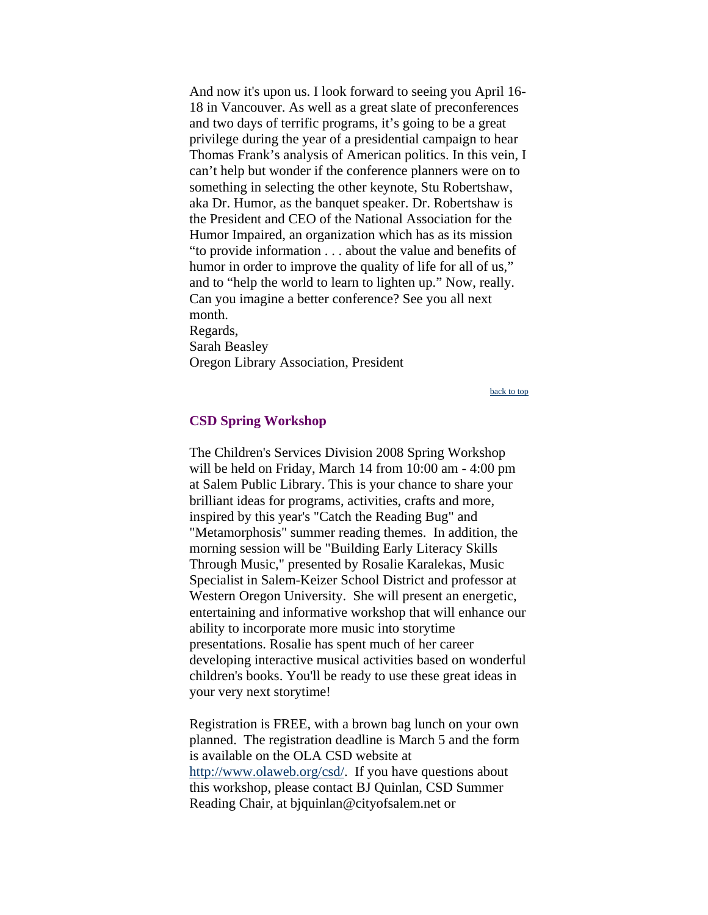<span id="page-2-0"></span>And now it's upon us. I look forward to seeing you April 16- 18 in Vancouver. As well as a great slate of preconferences and two days of terrific programs, it's going to be a great privilege during the year of a presidential campaign to hear Thomas Frank's analysis of American politics. In this vein, I can't help but wonder if the conference planners were on to something in selecting the other keynote, Stu Robertshaw, aka Dr. Humor, as the banquet speaker. Dr. Robertshaw is the President and CEO of the National Association for the Humor Impaired, an organization which has as its mission "to provide information . . . about the value and benefits of humor in order to improve the quality of life for all of us," and to "help the world to learn to lighten up." Now, really. Can you imagine a better conference? See you all next month. Regards, Sarah Beasley

Oregon Library Association, President

[back to top](#page-0-0)

#### **CSD Spring Workshop**

The Children's Services Division 2008 Spring Workshop will be held on Friday, March 14 from 10:00 am - 4:00 pm at Salem Public Library. This is your chance to share your brilliant ideas for programs, activities, crafts and more, inspired by this year's "Catch the Reading Bug" and "Metamorphosis" summer reading themes. In addition, the morning session will be "Building Early Literacy Skills Through Music," presented by Rosalie Karalekas, Music Specialist in Salem-Keizer School District and professor at Western Oregon University. She will present an energetic, entertaining and informative workshop that will enhance our ability to incorporate more music into storytime presentations. Rosalie has spent much of her career developing interactive musical activities based on wonderful children's books. You'll be ready to use these great ideas in your very next storytime!

Registration is FREE, with a brown bag lunch on your own planned. The registration deadline is March 5 and the form is available on the OLA CSD website at [http://www.olaweb.org/csd/.](http://www.olaweb.org/csd/) If you have questions about this workshop, please contact BJ Quinlan, CSD Summer Reading Chair, at bjquinlan@cityofsalem.net or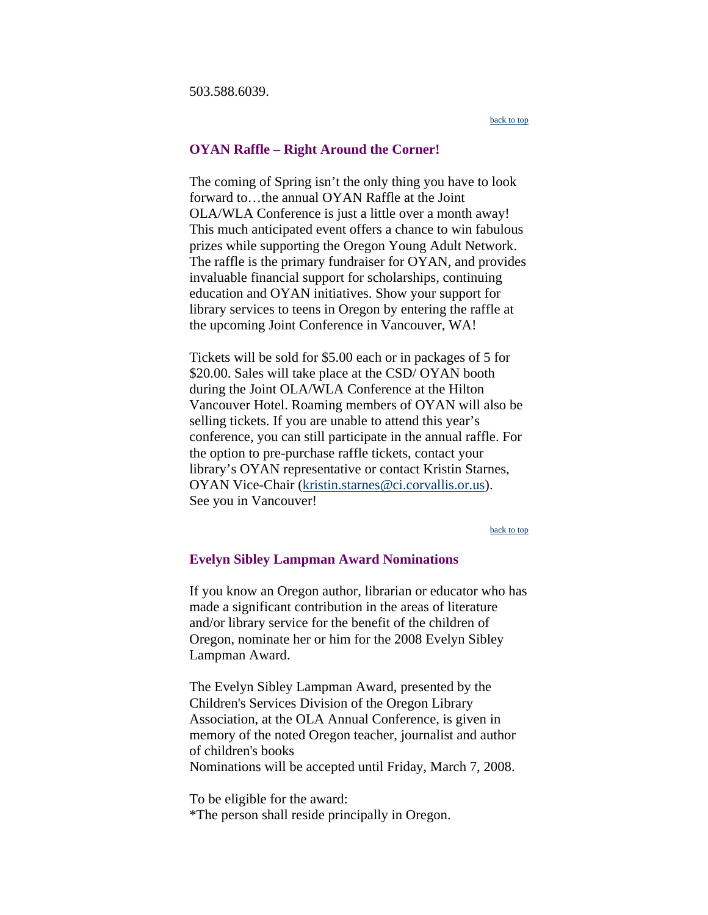<span id="page-3-0"></span>503.588.6039.

[back to top](#page-0-0)

#### **OYAN Raffle – Right Around the Corner!**

The coming of Spring isn't the only thing you have to look forward to…the annual OYAN Raffle at the Joint OLA/WLA Conference is just a little over a month away! This much anticipated event offers a chance to win fabulous prizes while supporting the Oregon Young Adult Network. The raffle is the primary fundraiser for OYAN, and provides invaluable financial support for scholarships, continuing education and OYAN initiatives. Show your support for library services to teens in Oregon by entering the raffle at the upcoming Joint Conference in Vancouver, WA!

Tickets will be sold for \$5.00 each or in packages of 5 for \$20.00. Sales will take place at the CSD/ OYAN booth during the Joint OLA/WLA Conference at the Hilton Vancouver Hotel. Roaming members of OYAN will also be selling tickets. If you are unable to attend this year's conference, you can still participate in the annual raffle. For the option to pre-purchase raffle tickets, contact your library's OYAN representative or contact Kristin Starnes, OYAN Vice-Chair ([kristin.starnes@ci.corvallis.or.us\)](mailto:kristin.starnes@ci.corvallis.or.us). See you in Vancouver!

[back to top](#page-0-0)

### **Evelyn Sibley Lampman Award Nominations**

If you know an Oregon author, librarian or educator who has made a significant contribution in the areas of literature and/or library service for the benefit of the children of Oregon, nominate her or him for the 2008 Evelyn Sibley Lampman Award.

The Evelyn Sibley Lampman Award, presented by the Children's Services Division of the Oregon Library Association, at the OLA Annual Conference, is given in memory of the noted Oregon teacher, journalist and author of children's books Nominations will be accepted until Friday, March 7, 2008.

To be eligible for the award: \*The person shall reside principally in Oregon.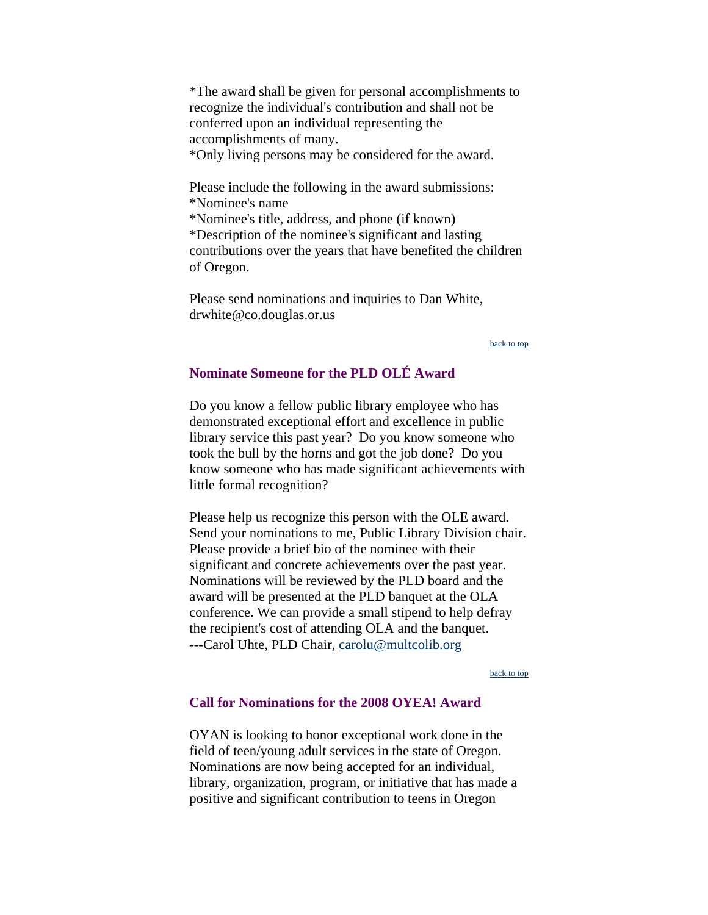<span id="page-4-0"></span>\*The award shall be given for personal accomplishments to recognize the individual's contribution and shall not be conferred upon an individual representing the accomplishments of many.

\*Only living persons may be considered for the award.

Please include the following in the award submissions: \*Nominee's name \*Nominee's title, address, and phone (if known) \*Description of the nominee's significant and lasting contributions over the years that have benefited the children of Oregon.

Please send nominations and inquiries to Dan White, drwhite@co.douglas.or.us

[back to top](#page-0-0)

## **Nominate Someone for the PLD OLÉ Award**

Do you know a fellow public library employee who has demonstrated exceptional effort and excellence in public library service this past year? Do you know someone who took the bull by the horns and got the job done? Do you know someone who has made significant achievements with little formal recognition?

Please help us recognize this person with the OLE award. Send your nominations to me, Public Library Division chair. Please provide a brief bio of the nominee with their significant and concrete achievements over the past year. Nominations will be reviewed by the PLD board and the award will be presented at the PLD banquet at the OLA conference. We can provide a small stipend to help defray the recipient's cost of attending OLA and the banquet. ---Carol Uhte, PLD Chair, [carolu@multcolib.org](mailto:carolu@multcolib.org)

[back to top](#page-0-0)

### **Call for Nominations for the 2008 OYEA! Award**

OYAN is looking to honor exceptional work done in the field of teen/young adult services in the state of Oregon. Nominations are now being accepted for an individual, library, organization, program, or initiative that has made a positive and significant contribution to teens in Oregon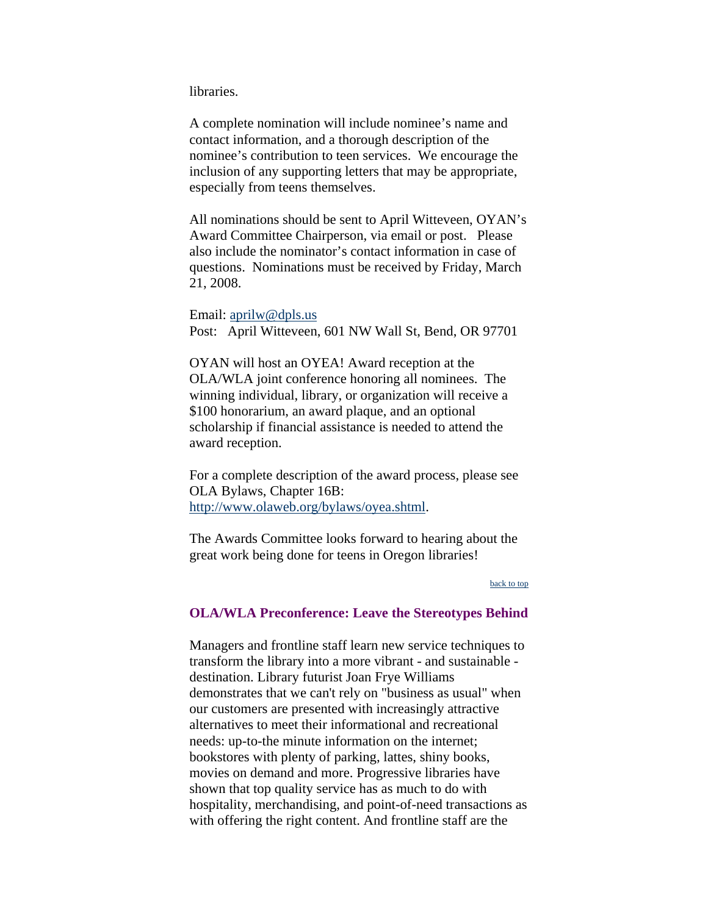<span id="page-5-0"></span>libraries.

A complete nomination will include nominee's name and contact information, and a thorough description of the nominee's contribution to teen services. We encourage the inclusion of any supporting letters that may be appropriate, especially from teens themselves.

All nominations should be sent to April Witteveen, OYAN's Award Committee Chairperson, via email or post. Please also include the nominator's contact information in case of questions. Nominations must be received by Friday, March 21, 2008.

Email: [aprilw@dpls.us](mailto:aprilw@dpls.us) Post: April Witteveen, 601 NW Wall St, Bend, OR 97701

OYAN will host an OYEA! Award reception at the OLA/WLA joint conference honoring all nominees. The winning individual, library, or organization will receive a \$100 honorarium, an award plaque, and an optional scholarship if financial assistance is needed to attend the award reception.

For a complete description of the award process, please see OLA Bylaws, Chapter 16B: <http://www.olaweb.org/bylaws/oyea.shtml>.

The Awards Committee looks forward to hearing about the great work being done for teens in Oregon libraries!

#### [back to top](#page-0-0)

#### **OLA/WLA Preconference: Leave the Stereotypes Behind**

Managers and frontline staff learn new service techniques to transform the library into a more vibrant - and sustainable destination. Library futurist Joan Frye Williams demonstrates that we can't rely on "business as usual" when our customers are presented with increasingly attractive alternatives to meet their informational and recreational needs: up-to-the minute information on the internet; bookstores with plenty of parking, lattes, shiny books, movies on demand and more. Progressive libraries have shown that top quality service has as much to do with hospitality, merchandising, and point-of-need transactions as with offering the right content. And frontline staff are the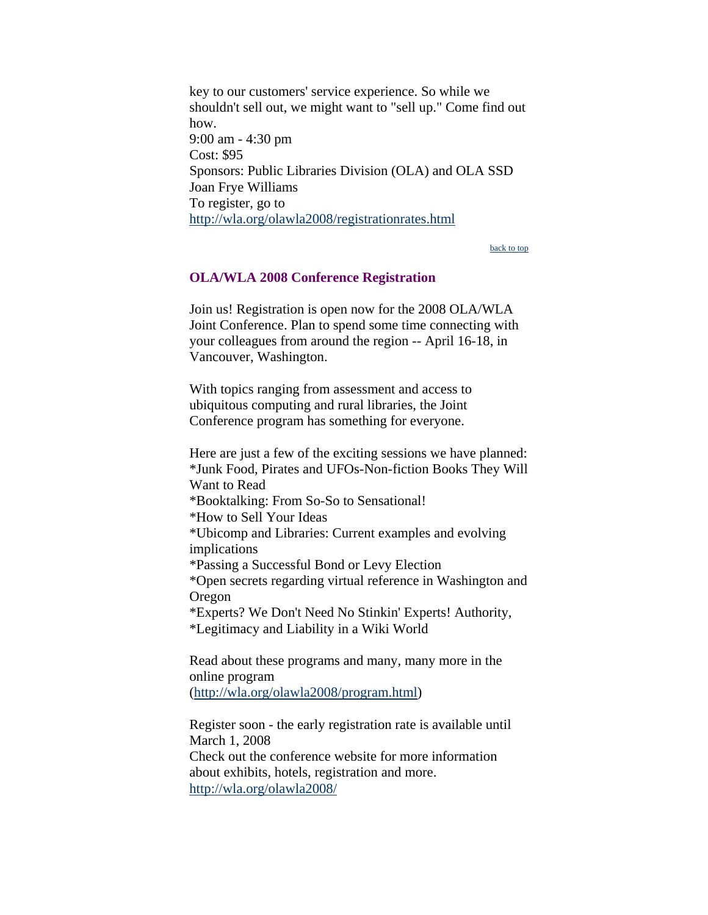<span id="page-6-0"></span>key to our customers' service experience. So while we shouldn't sell out, we might want to "sell up." Come find out how. 9:00 am - 4:30 pm Cost: \$95 Sponsors: Public Libraries Division (OLA) and OLA SSD Joan Frye Williams To register, go to <http://wla.org/olawla2008/registrationrates.html>

[back to top](#page-0-0)

#### **OLA/WLA 2008 Conference Registration**

Join us! Registration is open now for the 2008 OLA/WLA Joint Conference. Plan to spend some time connecting with your colleagues from around the region -- April 16-18, in Vancouver, Washington.

With topics ranging from assessment and access to ubiquitous computing and rural libraries, the Joint Conference program has something for everyone.

Here are just a few of the exciting sessions we have planned: \*Junk Food, Pirates and UFOs-Non-fiction Books They Will Want to Read \*Booktalking: From So-So to Sensational! \*How to Sell Your Ideas \*Ubicomp and Libraries: Current examples and evolving implications \*Passing a Successful Bond or Levy Election \*Open secrets regarding virtual reference in Washington and Oregon \*Experts? We Don't Need No Stinkin' Experts! Authority, \*Legitimacy and Liability in a Wiki World

Read about these programs and many, many more in the online program (<http://wla.org/olawla2008/program.html>)

Register soon - the early registration rate is available until March 1, 2008 Check out the conference website for more information about exhibits, hotels, registration and more. <http://wla.org/olawla2008/>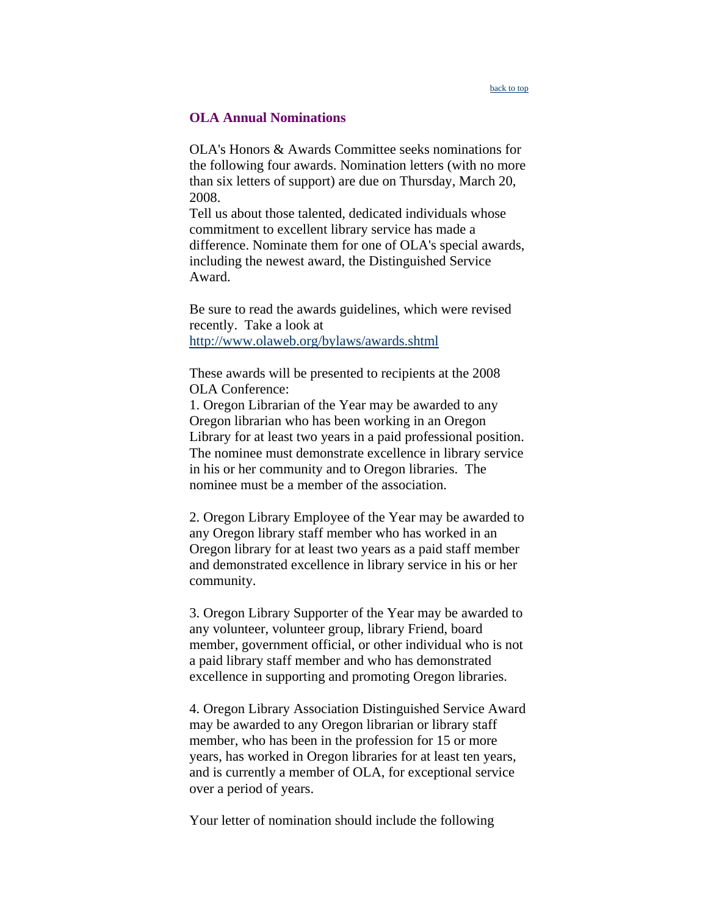### <span id="page-7-0"></span>**OLA Annual Nominations**

OLA's Honors & Awards Committee seeks nominations for the following four awards. Nomination letters (with no more than six letters of support) are due on Thursday, March 20, 2008.

Tell us about those talented, dedicated individuals whose commitment to excellent library service has made a difference. Nominate them for one of OLA's special awards, including the newest award, the Distinguished Service Award.

Be sure to read the awards guidelines, which were revised recently. Take a look at <http://www.olaweb.org/bylaws/awards.shtml>

These awards will be presented to recipients at the 2008 OLA Conference:

1. Oregon Librarian of the Year may be awarded to any Oregon librarian who has been working in an Oregon Library for at least two years in a paid professional position. The nominee must demonstrate excellence in library service in his or her community and to Oregon libraries. The nominee must be a member of the association.

2. Oregon Library Employee of the Year may be awarded to any Oregon library staff member who has worked in an Oregon library for at least two years as a paid staff member and demonstrated excellence in library service in his or her community.

3. Oregon Library Supporter of the Year may be awarded to any volunteer, volunteer group, library Friend, board member, government official, or other individual who is not a paid library staff member and who has demonstrated excellence in supporting and promoting Oregon libraries.

4. Oregon Library Association Distinguished Service Award may be awarded to any Oregon librarian or library staff member, who has been in the profession for 15 or more years, has worked in Oregon libraries for at least ten years, and is currently a member of OLA, for exceptional service over a period of years.

Your letter of nomination should include the following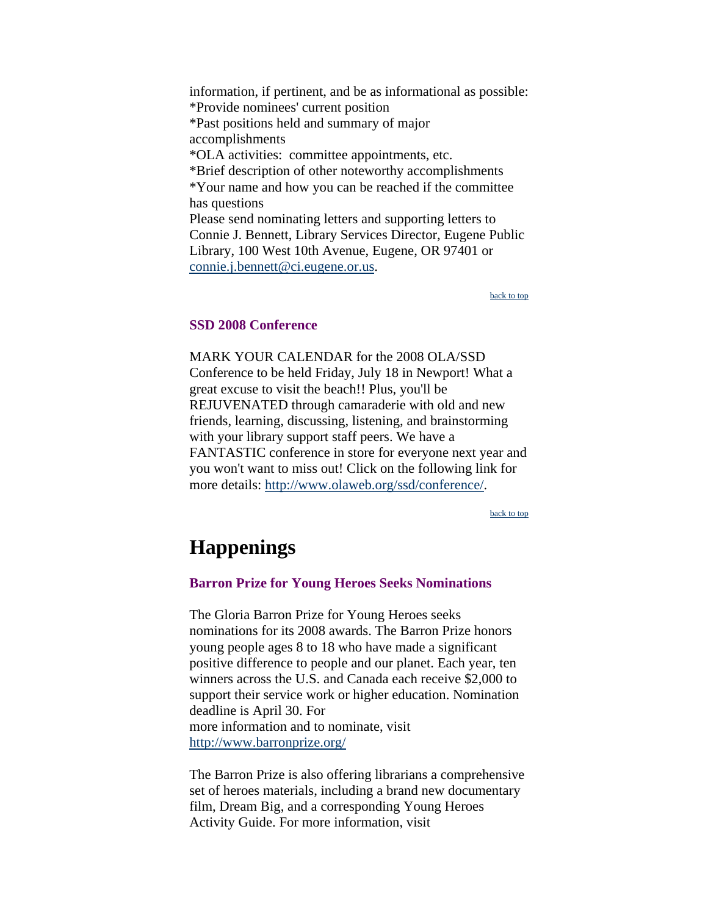<span id="page-8-0"></span>information, if pertinent, and be as informational as possible: \*Provide nominees' current position \*Past positions held and summary of major accomplishments \*OLA activities: committee appointments, etc. \*Brief description of other noteworthy accomplishments \*Your name and how you can be reached if the committee has questions Please send nominating letters and supporting letters to Connie J. Bennett, Library Services Director, Eugene Public Library, 100 West 10th Avenue, Eugene, OR 97401 or [connie.j.bennett@ci.eugene.or.us.](mailto:connie.j.bennett@ci.eugene.or.us)

[back to top](#page-0-0)

### **SSD 2008 Conference**

MARK YOUR CALENDAR for the 2008 OLA/SSD Conference to be held Friday, July 18 in Newport! What a great excuse to visit the beach!! Plus, you'll be REJUVENATED through camaraderie with old and new friends, learning, discussing, listening, and brainstorming with your library support staff peers. We have a FANTASTIC conference in store for everyone next year and you won't want to miss out! Click on the following link for more details: [http://www.olaweb.org/ssd/conference/.](http://www.olaweb.org/ssd/conference/)

[back to top](#page-0-0)

# **Happenings**

#### **Barron Prize for Young Heroes Seeks Nominations**

The Gloria Barron Prize for Young Heroes seeks nominations for its 2008 awards. The Barron Prize honors young people ages 8 to 18 who have made a significant positive difference to people and our planet. Each year, ten winners across the U.S. and Canada each receive \$2,000 to support their service work or higher education. Nomination deadline is April 30. For more information and to nominate, visit [http://www.barronprize.org/](https://webmail.co.multnomah.or.us/exchweb/bin/redir.asp?URL=http://www.barronprize.org/)

The Barron Prize is also offering librarians a comprehensive set of heroes materials, including a brand new documentary film, Dream Big, and a corresponding Young Heroes Activity Guide. For more information, visit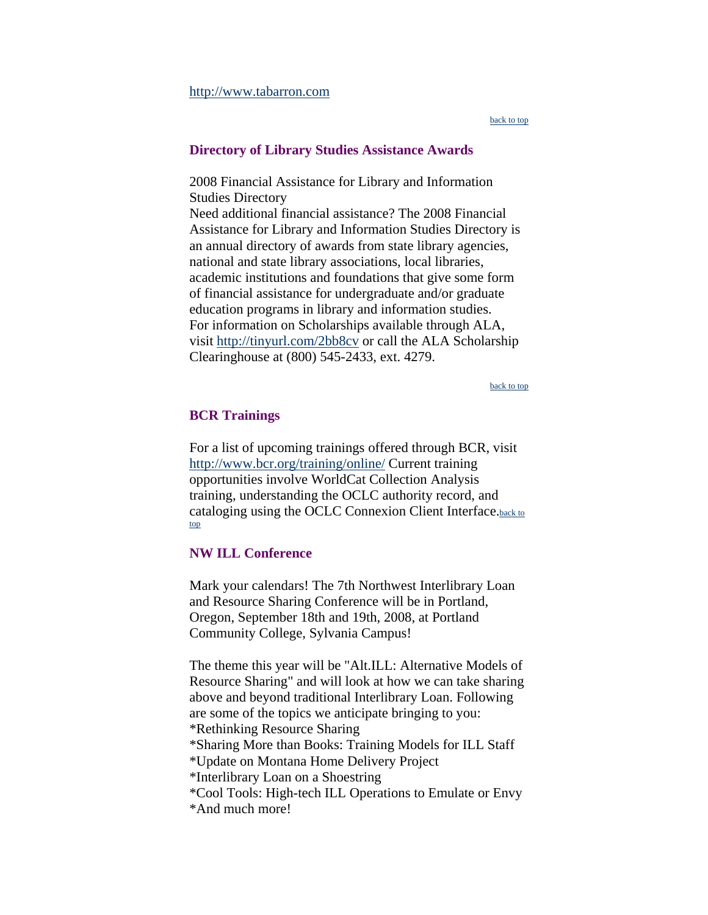<span id="page-9-0"></span>[http://www.tabarron.com](https://webmail.co.multnomah.or.us/exchweb/bin/redir.asp?URL=http://www.tabarron.com)

[back to top](#page-0-0)

#### **Directory of Library Studies Assistance Awards**

2008 Financial Assistance for Library and Information Studies Directory Need additional financial assistance? The 2008 Financial Assistance for Library and Information Studies Directory is an annual directory of awards from state library agencies, national and state library associations, local libraries, academic institutions and foundations that give some form of financial assistance for undergraduate and/or graduate education programs in library and information studies. For information on Scholarships available through ALA, visit <http://tinyurl.com/2bb8cv>or call the ALA Scholarship Clearinghouse at (800) 545-2433, ext. 4279.

[back to top](#page-0-0)

#### **BCR Trainings**

For a list of upcoming trainings offered through BCR, visit <http://www.bcr.org/training/online/> Current training opportunities involve WorldCat Collection Analysis training, understanding the OCLC authority record, and c[at](#page-0-0)aloging using the OCLC Connexion Client Interface[.back to](#page-0-0)  [top](#page-0-0)

#### **NW ILL Conference**

Mark your calendars! The 7th Northwest Interlibrary Loan and Resource Sharing Conference will be in Portland, Oregon, September 18th and 19th, 2008, at Portland Community College, Sylvania Campus!

The theme this year will be "Alt.ILL: Alternative Models of Resource Sharing" and will look at how we can take sharing above and beyond traditional Interlibrary Loan. Following are some of the topics we anticipate bringing to you: \*Rethinking Resource Sharing \*Sharing More than Books: Training Models for ILL Staff \*Update on Montana Home Delivery Project \*Interlibrary Loan on a Shoestring \*Cool Tools: High-tech ILL Operations to Emulate or Envy \*And much more!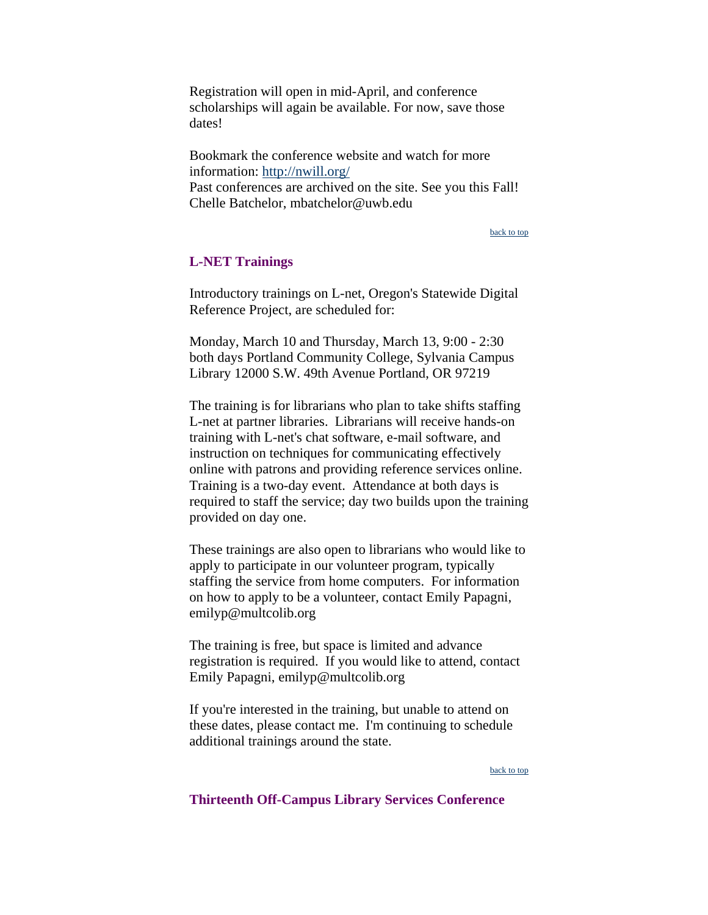<span id="page-10-0"></span>Registration will open in mid-April, and conference scholarships will again be available. For now, save those dates!

Bookmark the conference website and watch for more information: <http://nwill.org/> Past conferences are archived on the site. See you this Fall! Chelle Batchelor, mbatchelor@uwb.edu

[back to top](#page-0-0)

### **L-NET Trainings**

Introductory trainings on L-net, Oregon's Statewide Digital Reference Project, are scheduled for:

Monday, March 10 and Thursday, March 13, 9:00 - 2:30 both days Portland Community College, Sylvania Campus Library 12000 S.W. 49th Avenue Portland, OR 97219

The training is for librarians who plan to take shifts staffing L-net at partner libraries. Librarians will receive hands-on training with L-net's chat software, e-mail software, and instruction on techniques for communicating effectively online with patrons and providing reference services online. Training is a two-day event. Attendance at both days is required to staff the service; day two builds upon the training provided on day one.

These trainings are also open to librarians who would like to apply to participate in our volunteer program, typically staffing the service from home computers. For information on how to apply to be a volunteer, contact Emily Papagni, emilyp@multcolib.org

The training is free, but space is limited and advance registration is required. If you would like to attend, contact Emily Papagni, emilyp@multcolib.org

If you're interested in the training, but unable to attend on these dates, please contact me. I'm continuing to schedule additional trainings around the state.

#### [back to top](#page-0-0)

### **Thirteenth Off-Campus Library Services Conference**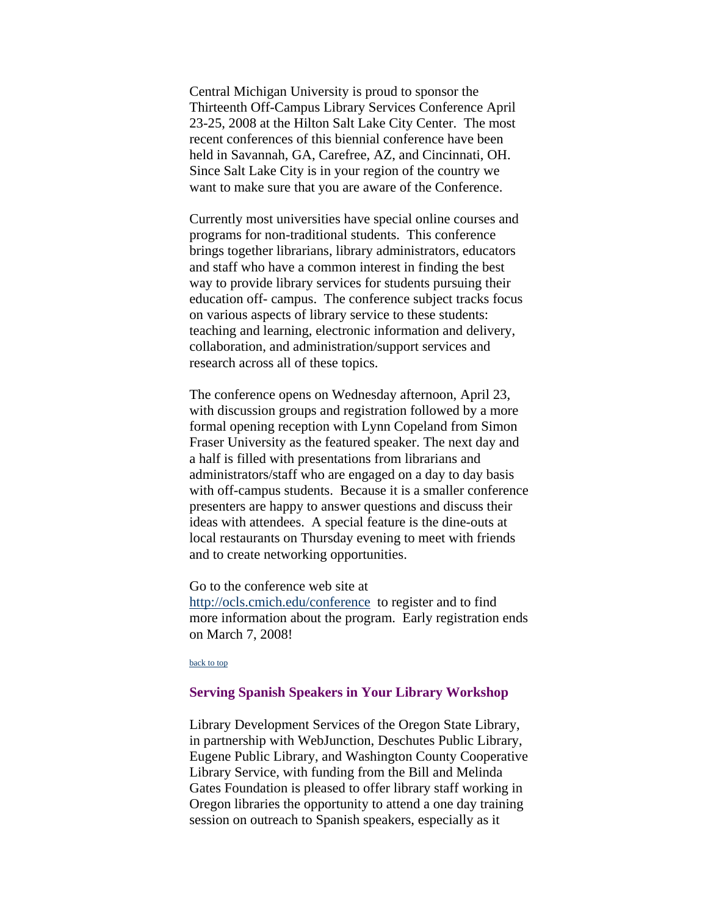<span id="page-11-0"></span>Central Michigan University is proud to sponsor the Thirteenth Off-Campus Library Services Conference April 23-25, 2008 at the Hilton Salt Lake City Center. The most recent conferences of this biennial conference have been held in Savannah, GA, Carefree, AZ, and Cincinnati, OH. Since Salt Lake City is in your region of the country we want to make sure that you are aware of the Conference.

Currently most universities have special online courses and programs for non-traditional students. This conference brings together librarians, library administrators, educators and staff who have a common interest in finding the best way to provide library services for students pursuing their education off- campus. The conference subject tracks focus on various aspects of library service to these students: teaching and learning, electronic information and delivery, collaboration, and administration/support services and research across all of these topics.

The conference opens on Wednesday afternoon, April 23, with discussion groups and registration followed by a more formal opening reception with Lynn Copeland from Simon Fraser University as the featured speaker. The next day and a half is filled with presentations from librarians and administrators/staff who are engaged on a day to day basis with off-campus students. Because it is a smaller conference presenters are happy to answer questions and discuss their ideas with attendees. A special feature is the dine-outs at local restaurants on Thursday evening to meet with friends and to create networking opportunities.

Go to the conference web site at

<http://ocls.cmich.edu/conference>to register and to find more information about the program. Early registration ends on March 7, 2008!

#### [back to top](#page-0-0)

### **Serving Spanish Speakers in Your Library Workshop**

Library Development Services of the Oregon State Library, in partnership with WebJunction, Deschutes Public Library, Eugene Public Library, and Washington County Cooperative Library Service, with funding from the Bill and Melinda Gates Foundation is pleased to offer library staff working in Oregon libraries the opportunity to attend a one day training session on outreach to Spanish speakers, especially as it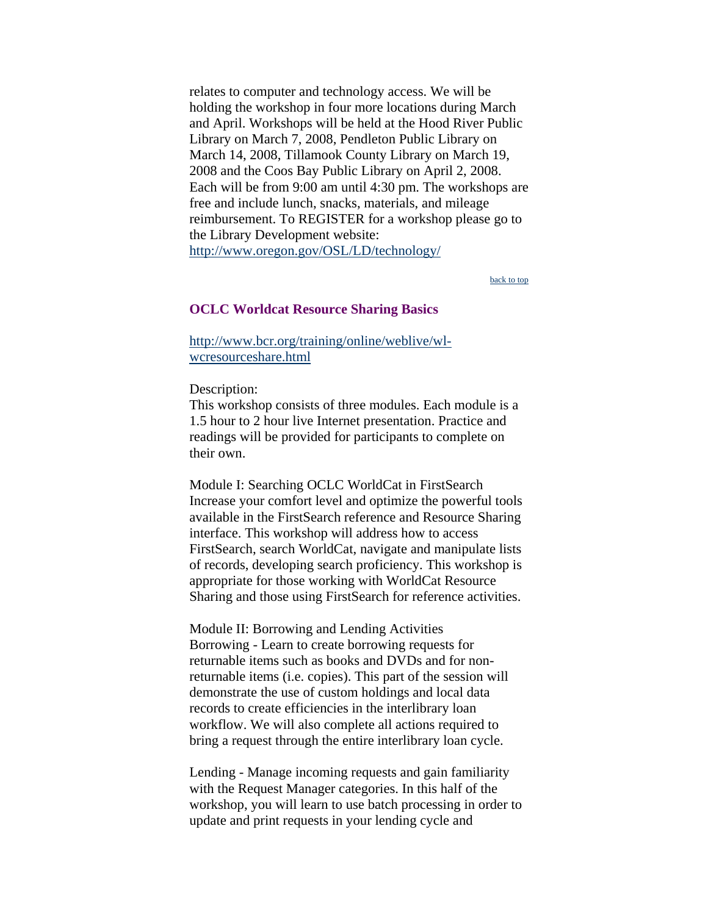<span id="page-12-0"></span>relates to computer and technology access. We will be holding the workshop in four more locations during March and April. Workshops will be held at the Hood River Public Library on March 7, 2008, Pendleton Public Library on March 14, 2008, Tillamook County Library on March 19, 2008 and the Coos Bay Public Library on April 2, 2008. Each will be from 9:00 am until 4:30 pm. The workshops are free and include lunch, snacks, materials, and mileage reimbursement. To REGISTER for a workshop please go to the Library Development website: <http://www.oregon.gov/OSL/LD/technology/>

[back to top](#page-0-0)

#### **OCLC Worldcat Resource Sharing Basics**

[http://www.bcr.org/training/online/weblive/wl](http://www.bcr.org/training/online/weblive/wl-wcresourceshare.html)[wcresourceshare.html](http://www.bcr.org/training/online/weblive/wl-wcresourceshare.html)

Description:

This workshop consists of three modules. Each module is a 1.5 hour to 2 hour live Internet presentation. Practice and readings will be provided for participants to complete on their own.

Module I: Searching OCLC WorldCat in FirstSearch Increase your comfort level and optimize the powerful tools available in the FirstSearch reference and Resource Sharing interface. This workshop will address how to access FirstSearch, search WorldCat, navigate and manipulate lists of records, developing search proficiency. This workshop is appropriate for those working with WorldCat Resource Sharing and those using FirstSearch for reference activities.

Module II: Borrowing and Lending Activities Borrowing - Learn to create borrowing requests for returnable items such as books and DVDs and for nonreturnable items (i.e. copies). This part of the session will demonstrate the use of custom holdings and local data records to create efficiencies in the interlibrary loan workflow. We will also complete all actions required to bring a request through the entire interlibrary loan cycle.

Lending - Manage incoming requests and gain familiarity with the Request Manager categories. In this half of the workshop, you will learn to use batch processing in order to update and print requests in your lending cycle and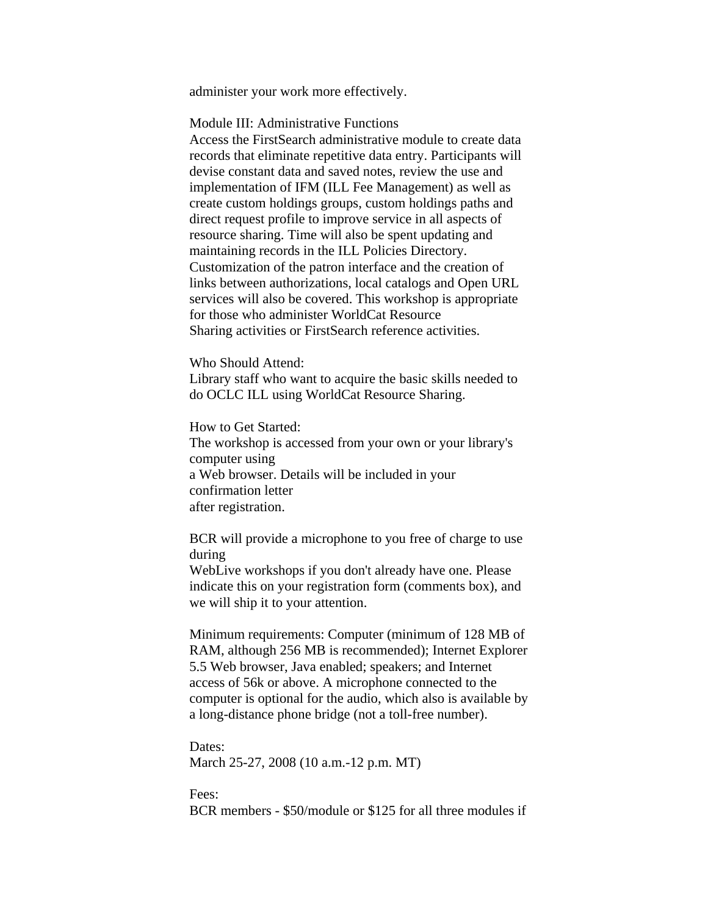administer your work more effectively.

Module III: Administrative Functions

Access the FirstSearch administrative module to create data records that eliminate repetitive data entry. Participants will devise constant data and saved notes, review the use and implementation of IFM (ILL Fee Management) as well as create custom holdings groups, custom holdings paths and direct request profile to improve service in all aspects of resource sharing. Time will also be spent updating and maintaining records in the ILL Policies Directory. Customization of the patron interface and the creation of links between authorizations, local catalogs and Open URL services will also be covered. This workshop is appropriate for those who administer WorldCat Resource Sharing activities or FirstSearch reference activities.

Who Should Attend:

Library staff who want to acquire the basic skills needed to do OCLC ILL using WorldCat Resource Sharing.

How to Get Started: The workshop is accessed from your own or your library's computer using a Web browser. Details will be included in your confirmation letter after registration.

BCR will provide a microphone to you free of charge to use during

WebLive workshops if you don't already have one. Please indicate this on your registration form (comments box), and we will ship it to your attention.

Minimum requirements: Computer (minimum of 128 MB of RAM, although 256 MB is recommended); Internet Explorer 5.5 Web browser, Java enabled; speakers; and Internet access of 56k or above. A microphone connected to the computer is optional for the audio, which also is available by a long-distance phone bridge (not a toll-free number).

Dates: March 25-27, 2008 (10 a.m.-12 p.m. MT)

Fees: BCR members - \$50/module or \$125 for all three modules if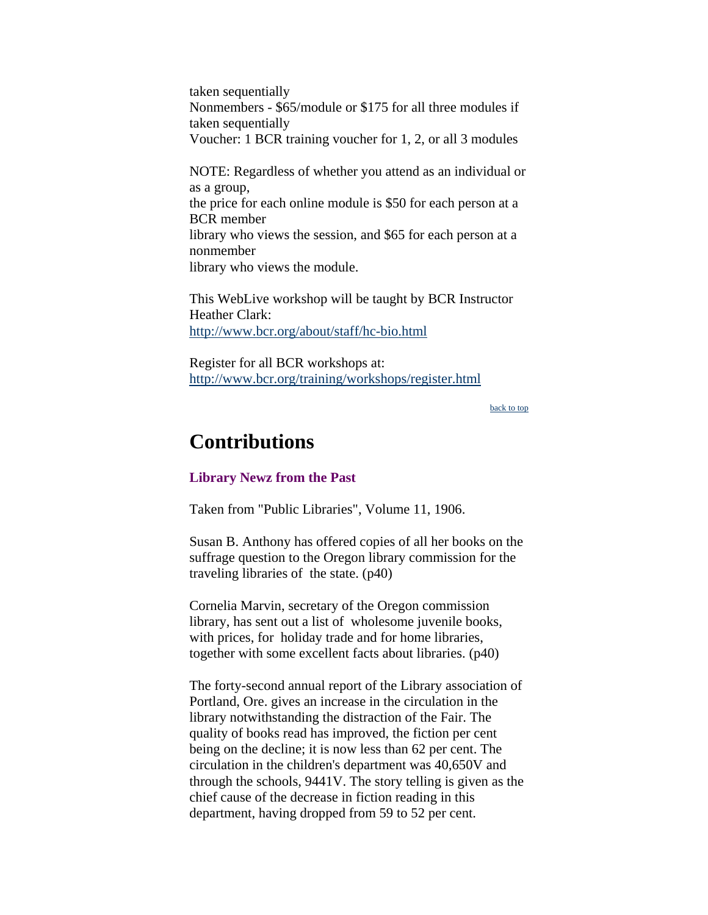<span id="page-14-0"></span>taken sequentially Nonmembers - \$65/module or \$175 for all three modules if taken sequentially Voucher: 1 BCR training voucher for 1, 2, or all 3 modules

NOTE: Regardless of whether you attend as an individual or as a group, the price for each online module is \$50 for each person at a BCR member library who views the session, and \$65 for each person at a nonmember library who views the module.

This WebLive workshop will be taught by BCR Instructor Heather Clark: <http://www.bcr.org/about/staff/hc-bio.html>

Register for all BCR workshops at: <http://www.bcr.org/training/workshops/register.html>

[back to top](#page-0-0)

# **Contributions**

### **Library Newz from the Past**

Taken from "Public Libraries", Volume 11, 1906.

Susan B. Anthony has offered copies of all her books on the suffrage question to the Oregon library commission for the traveling libraries of the state. (p40)

Cornelia Marvin, secretary of the Oregon commission library, has sent out a list of wholesome juvenile books, with prices, for holiday trade and for home libraries, together with some excellent facts about libraries. (p40)

The forty-second annual report of the Library association of Portland, Ore. gives an increase in the circulation in the library notwithstanding the distraction of the Fair. The quality of books read has improved, the fiction per cent being on the decline; it is now less than 62 per cent. The circulation in the children's department was 40,650V and through the schools, 9441V. The story telling is given as the chief cause of the decrease in fiction reading in this department, having dropped from 59 to 52 per cent.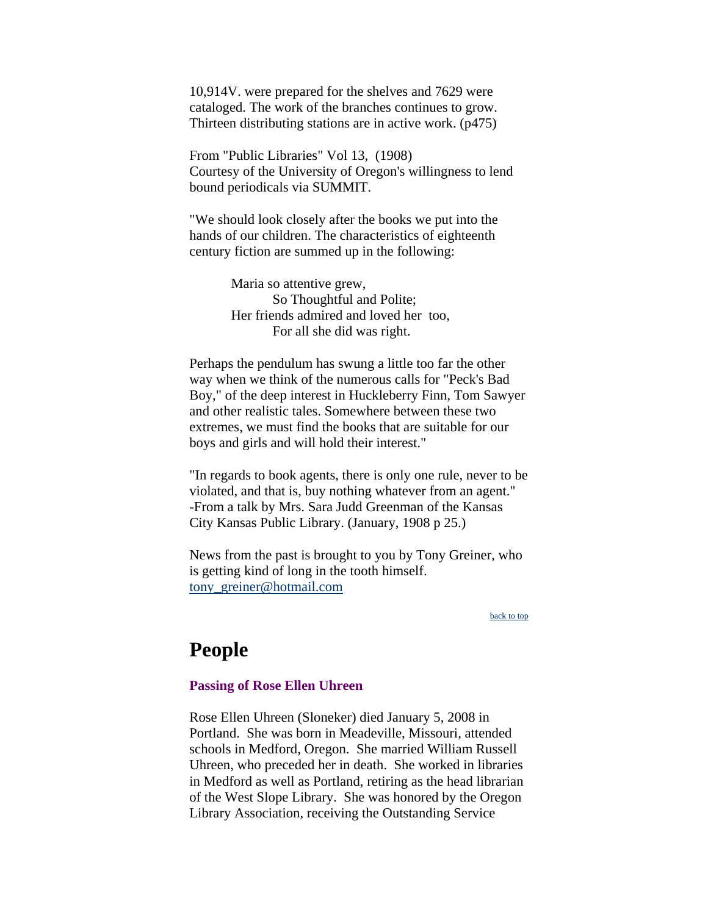10,914V. were prepared for the shelves and 7629 were cataloged. The work of the branches continues to grow. Thirteen distributing stations are in active work. (p475)

From "Public Libraries" Vol 13, (1908) Courtesy of the University of Oregon's willingness to lend bound periodicals via SUMMIT.

"We should look closely after the books we put into the hands of our children. The characteristics of eighteenth century fiction are summed up in the following:

> Maria so attentive grew, So Thoughtful and Polite; Her friends admired and loved her too, For all she did was right.

Perhaps the pendulum has swung a little too far the other way when we think of the numerous calls for "Peck's Bad Boy," of the deep interest in Huckleberry Finn, Tom Sawyer and other realistic tales. Somewhere between these two extremes, we must find the books that are suitable for our boys and girls and will hold their interest."

"In regards to book agents, there is only one rule, never to be violated, and that is, buy nothing whatever from an agent." -From a talk by Mrs. Sara Judd Greenman of the Kansas City Kansas Public Library. (January, 1908 p 25.)

News from the past is brought to you by Tony Greiner, who is getting kind of long in the tooth himself. [tony\\_greiner@hotmail.com](mailto:tony_greiner@hotmail.com)

[back to top](#page-0-0)

# **People**

### **Passing of Rose Ellen Uhreen**

Rose Ellen Uhreen (Sloneker) died January 5, 2008 in Portland. She was born in Meadeville, Missouri, attended schools in Medford, Oregon. She married William Russell Uhreen, who preceded her in death. She worked in libraries in Medford as well as Portland, retiring as the head librarian of the West Slope Library. She was honored by the Oregon Library Association, receiving the Outstanding Service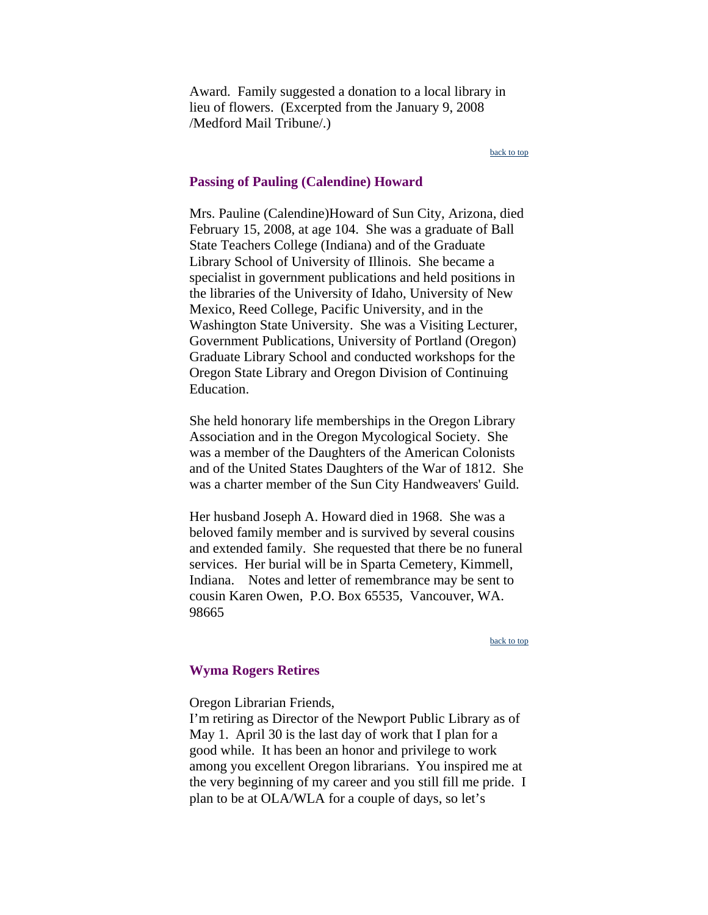<span id="page-16-0"></span>Award. Family suggested a donation to a local library in lieu of flowers. (Excerpted from the January 9, 2008 /Medford Mail Tribune/.)

#### [back to top](#page-0-0)

#### **Passing of Pauling (Calendine) Howard**

Mrs. Pauline (Calendine)Howard of Sun City, Arizona, died February 15, 2008, at age 104. She was a graduate of Ball State Teachers College (Indiana) and of the Graduate Library School of University of Illinois. She became a specialist in government publications and held positions in the libraries of the University of Idaho, University of New Mexico, Reed College, Pacific University, and in the Washington State University. She was a Visiting Lecturer, Government Publications, University of Portland (Oregon) Graduate Library School and conducted workshops for the Oregon State Library and Oregon Division of Continuing Education.

She held honorary life memberships in the Oregon Library Association and in the Oregon Mycological Society. She was a member of the Daughters of the American Colonists and of the United States Daughters of the War of 1812. She was a charter member of the Sun City Handweavers' Guild.

Her husband Joseph A. Howard died in 1968. She was a beloved family member and is survived by several cousins and extended family. She requested that there be no funeral services. Her burial will be in Sparta Cemetery, Kimmell, Indiana. Notes and letter of remembrance may be sent to cousin Karen Owen, P.O. Box 65535, Vancouver, WA. 98665

#### [back to top](#page-0-0)

#### **Wyma Rogers Retires**

#### Oregon Librarian Friends,

I'm retiring as Director of the Newport Public Library as of May 1. April 30 is the last day of work that I plan for a good while. It has been an honor and privilege to work among you excellent Oregon librarians. You inspired me at the very beginning of my career and you still fill me pride. I plan to be at OLA/WLA for a couple of days, so let's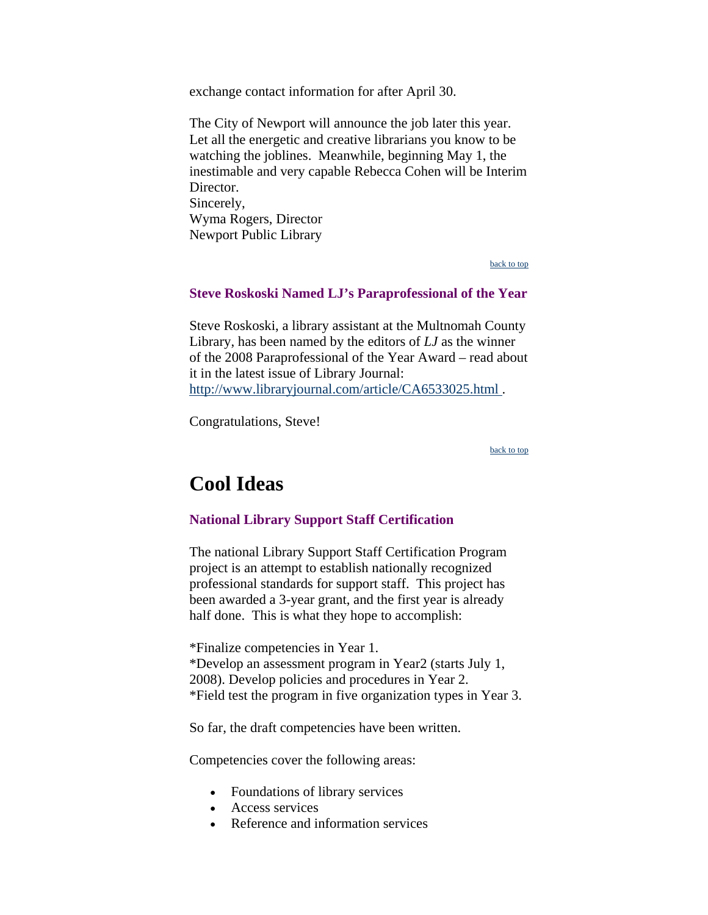<span id="page-17-0"></span>exchange contact information for after April 30.

The City of Newport will announce the job later this year. Let all the energetic and creative librarians you know to be watching the joblines. Meanwhile, beginning May 1, the inestimable and very capable Rebecca Cohen will be Interim Director. Sincerely, Wyma Rogers, Director Newport Public Library

[back to top](#page-0-0)

## **Steve Roskoski Named LJ's Paraprofessional of the Year**

Steve Roskoski, a library assistant at the Multnomah County Library, has been named by the editors of *LJ* as the winner of the 2008 Paraprofessional of the Year Award – read about it in the latest issue of Library Journal: http://www.libraryjournal.com/article/CA6533025.html.

Congratulations, Steve!

[back to top](#page-0-0)

# **Cool Ideas**

### **National Library Support Staff Certification**

The national Library Support Staff Certification Program project is an attempt to establish nationally recognized professional standards for support staff. This project has been awarded a 3-year grant, and the first year is already half done. This is what they hope to accomplish:

\*Finalize competencies in Year 1. \*Develop an assessment program in Year2 (starts July 1, 2008). Develop policies and procedures in Year 2. \*Field test the program in five organization types in Year 3.

So far, the draft competencies have been written.

Competencies cover the following areas:

- Foundations of library services
- Access services
- Reference and information services